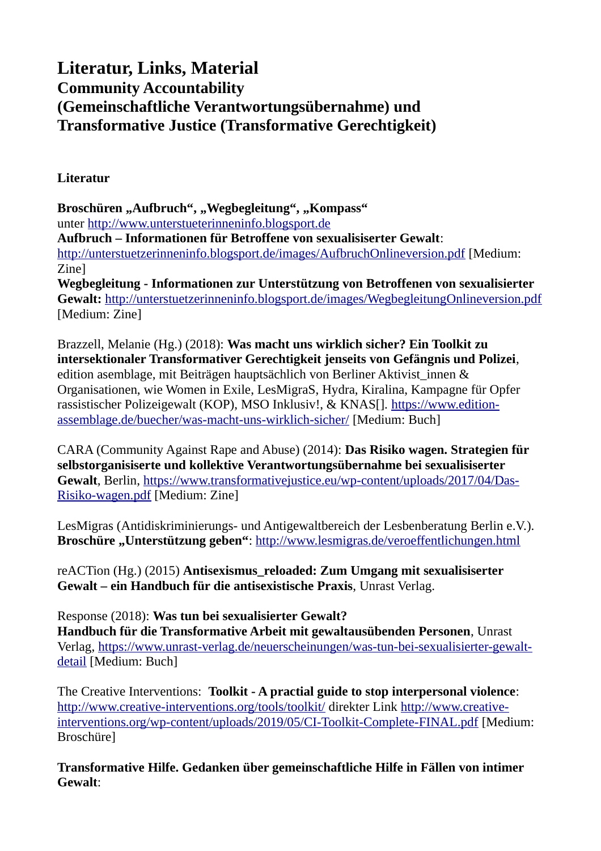## **Literatur, Links, Material Community Accountability (Gemeinschaftliche Verantwortungsübernahme) und Transformative Justice (Transformative Gerechtigkeit)**

**Literatur**

Broschüren "Aufbruch", "Wegbegleitung", "Kompass" unter [http://www.unterstueterinneninfo.blogsport.de](http://www.unterstueterinneninfo.blogsport.de/) **Aufbruch – Informationen für Betroffene von sexualisiserter Gewalt**: <http://unterstuetzerinneninfo.blogsport.de/images/AufbruchOnlineversion.pdf>[Medium: Zine] **Wegbegleitung - Informationen zur Unterstützung von Betroffenen von sexualisierter** 

**Gewalt:** <http://unterstuetzerinneninfo.blogsport.de/images/WegbegleitungOnlineversion.pdf> [Medium: Zine]

Brazzell, Melanie (Hg.) (2018): **Was macht uns wirklich sicher? Ein Toolkit zu intersektionaler Transformativer Gerechtigkeit jenseits von Gefängnis und Polizei**, edition asemblage, mit Beiträgen hauptsächlich von Berliner Aktivist\_innen & Organisationen, wie Women in Exile, LesMigraS, Hydra, Kiralina, Kampagne für Opfer rassistischer Polizeigewalt (KOP), MSO Inklusiv!, & KNAS[]. [https://www.edition](https://www.edition-assemblage.de/buecher/was-macht-uns-wirklich-sicher/)[assemblage.de/buecher/was-macht-uns-wirklich-sicher/](https://www.edition-assemblage.de/buecher/was-macht-uns-wirklich-sicher/) [Medium: Buch]

CARA (Community Against Rape and Abuse) (2014): **Das Risiko wagen. Strategien für selbstorganisiserte und kollektive Verantwortungsübernahme bei sexualisiserter Gewalt**, Berlin, [https://www.transformativejustice.eu/wp-content/uploads/2017/04/Das-](https://www.transformativejustice.eu/wp-content/uploads/2017/04/Das-Risiko-wagen.pdf)[Risiko-wagen.pdf](https://www.transformativejustice.eu/wp-content/uploads/2017/04/Das-Risiko-wagen.pdf) [Medium: Zine]

LesMigras (Antidiskriminierungs- und Antigewaltbereich der Lesbenberatung Berlin e.V.). **Broschüre "Unterstützung geben"**:<http://www.lesmigras.de/veroeffentlichungen.html>

reACTion (Hg.) (2015) **Antisexismus\_reloaded: Zum Umgang mit sexualisiserter Gewalt – ein Handbuch für die antisexistische Praxis**, Unrast Verlag.

Response (2018): **Was tun bei sexualisierter Gewalt? Handbuch für die Transformative Arbeit mit gewaltausübenden Personen**, Unrast Verlag, [https://www.unrast-verlag.de/neuerscheinungen/was-tun-bei-sexualisierter-gewalt](https://www.unrast-verlag.de/neuerscheinungen/was-tun-bei-sexualisierter-gewalt-detail)[detail](https://www.unrast-verlag.de/neuerscheinungen/was-tun-bei-sexualisierter-gewalt-detail) [Medium: Buch]

The Creative Interventions: **Toolkit - A practial guide to stop interpersonal violence**: <http://www.creative-interventions.org/tools/toolkit/>direkter Link [http://www.creative](http://www.creative-interventions.org/wp-content/uploads/2019/05/CI-Toolkit-Complete-FINAL.pdf)[interventions.org/wp-content/uploads/2019/05/CI-Toolkit-Complete-FINAL.pdf](http://www.creative-interventions.org/wp-content/uploads/2019/05/CI-Toolkit-Complete-FINAL.pdf) [Medium: Broschüre]

**Transformative Hilfe. Gedanken über gemeinschaftliche Hilfe in Fällen von intimer Gewalt**: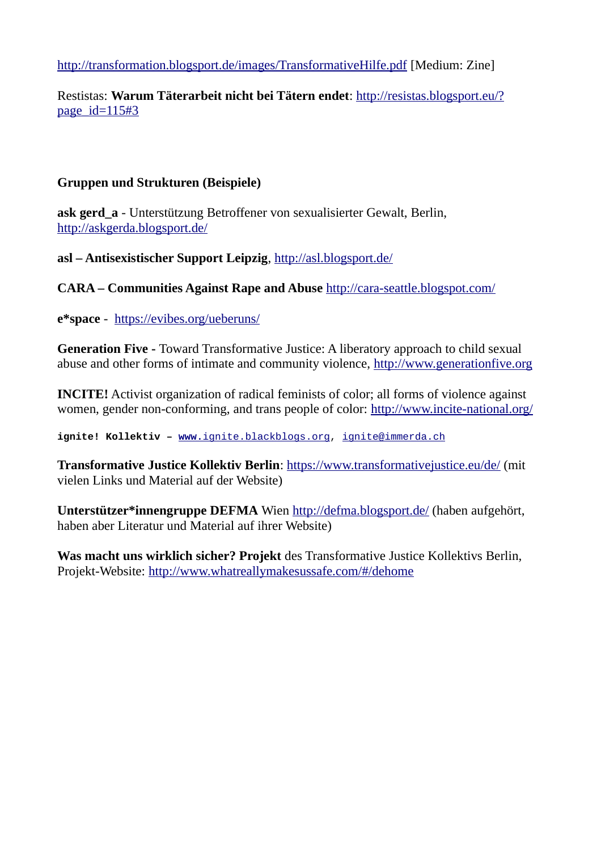<http://transformation.blogsport.de/images/TransformativeHilfe.pdf>[Medium: Zine]

Restistas: **Warum Täterarbeit nicht bei Tätern endet**: [http://resistas.blogsport.eu/?](http://resistas.blogsport.eu/?page_id=115#3) [page\\_id=115#3](http://resistas.blogsport.eu/?page_id=115#3)

## **Gruppen und Strukturen (Beispiele)**

**ask gerd\_a** - Unterstützung Betroffener von sexualisierter Gewalt, Berlin, <http://askgerda.blogsport.de/>

**asl – Antisexistischer Support Leipzig**,<http://asl.blogsport.de/>

**CARA – Communities Against Rape and Abuse** <http://cara-seattle.blogspot.com/>

**e\*space** - <https://evibes.org/ueberuns/>

**Generation Five -** Toward Transformative Justice: A liberatory approach to child sexual abuse and other forms of intimate and community violence, [http://www.generationfive.org](http://www.generationfive.org/)

**INCITE!** Activist organization of radical feminists of color; all forms of violence against women, gender non-conforming, and trans people of color:<http://www.incite-national.org/>

**ignite! Kollektiv – [www.](http://www.ignite.blackblogs.org/)**[ignite.blackblogs.org,](http://www.ignite.blackblogs.org/) [ignite@immerda.ch](mailto:ignite@immerda.ch)

**Transformative Justice Kollektiv Berlin**:<https://www.transformativejustice.eu/de/>(mit vielen Links und Material auf der Website)

**Unterstützer\*innengruppe DEFMA** Wien<http://defma.blogsport.de/>(haben aufgehört, haben aber Literatur und Material auf ihrer Website)

**Was macht uns wirklich sicher? Projekt** des Transformative Justice Kollektivs Berlin, Projekt-Website:<http://www.whatreallymakesussafe.com/#/dehome>